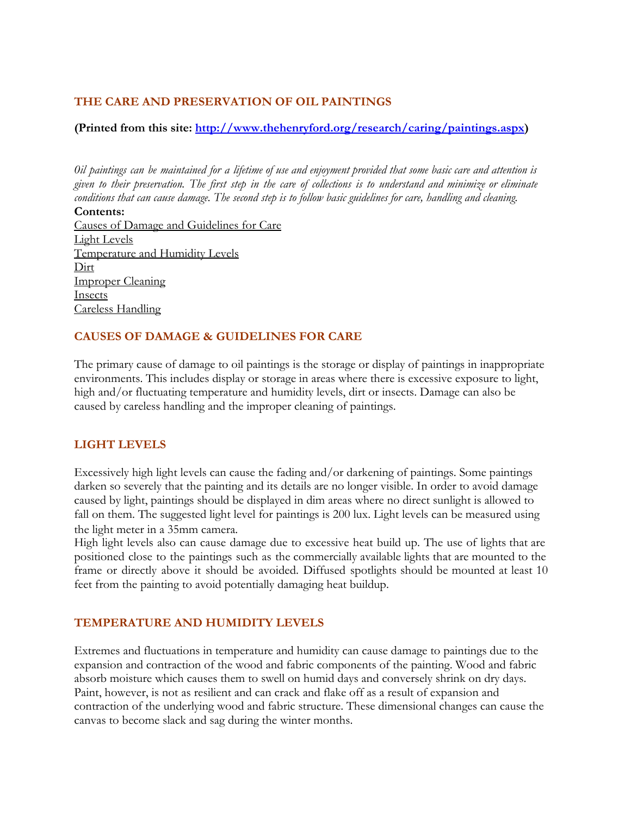### **THE CARE AND PRESERVATION OF OIL PAINTINGS**

#### **(Printed from this site: [http://www.thehenryford.org/research/caring/paintings.aspx](http://www.google.com/url?q=http%3A%2F%2Fwww.thehenryford.org%2Fresearch%2Fcaring%2Fpaintings.aspx&sa=D&sntz=1&usg=AFQjCNGYlzxlIkVc0yup8WFf1pq7rKvNQQ))**

*0il paintings can be maintained for a lifetime of use and enjoyment provided that some b asic care and attention is given to their preservation. The first step in the care of collections is to understand and minimize or eliminate conditions that can cause damage. The second step is to follow basic guidelines for care, handling and cleaning.*

**Contents:** [Causes of Damage and Guidelines for Care](http://www.google.com/url?q=http%3A%2F%2Fwww.hfmgv.org%2Fexplore%2Fartifacts%2Fpaint.asp%231%25231&sa=D&sntz=1&usg=AFQjCNGM2l-zRydwX0rLJVMG6mmYz8C-Lg) [Light Levels](http://www.google.com/url?q=http%3A%2F%2Fwww.hfmgv.org%2Fexplore%2Fartifacts%2Fpaint.asp%231a%25231a&sa=D&sntz=1&usg=AFQjCNEXLW-MajFva6mLzyQo7KYM4mYdCg) [Temperature and Humidity Levels](http://www.google.com/url?q=http%3A%2F%2Fwww.hfmgv.org%2Fexplore%2Fartifacts%2Fpaint.asp%231b%25231b&sa=D&sntz=1&usg=AFQjCNG3Kk6aJ9DpZBJoQKr6gPoDlK7ezg) [Dirt](http://www.google.com/url?q=http%3A%2F%2Fwww.hfmgv.org%2Fexplore%2Fartifacts%2Fpaint.asp%231c%25231c&sa=D&sntz=1&usg=AFQjCNE40ogjJ4vK-2CYGdBAMNDwe_Y0OQ) **[Improper Cleaning](http://www.google.com/url?q=http%3A%2F%2Fwww.hfmgv.org%2Fexplore%2Fartifacts%2Fpaint.asp%231d%25231d&sa=D&sntz=1&usg=AFQjCNFDklQLDvoKpTDXVsTd8pBgSwsVJg)** [Insects](http://www.google.com/url?q=http%3A%2F%2Fwww.hfmgv.org%2Fexplore%2Fartifacts%2Fpaint.asp%231e%25231e&sa=D&sntz=1&usg=AFQjCNELePUVgFe2BrzmB4C5JbO6_T-RbA) [Careless Handling](http://www.google.com/url?q=http%3A%2F%2Fwww.hfmgv.org%2Fexplore%2Fartifacts%2Fpaint.asp%231f%25231f&sa=D&sntz=1&usg=AFQjCNGvur-fGsR8iSfK5UzdSwkHoTJpFQ)

### **CAUSES OF DAMAGE & GUIDELINES FOR CARE**

The primary cause of damage to oil paintings is the storage or display of paintings in inappropriate environments. This includes display or storage in areas where there is excessive exposure to light, high and/or fluctuating temperature and humidity levels, dirt or insects. Damage can also be caused by careless handling and the improper cleaning of paintings.

## **LIGHT LEVELS**

Excessively high light levels can cause the fading and/or darkening of paintings. Some paintings darken so severely that the painting and its details are no longer visible. In order to avoid damage caused by light, paintings should be displayed in dim areas where no direct sunlight is allowed to fall on them. The suggested light level for paintings is 200 lux. Light levels can be measured using the light meter in a 35mm camera.

High light levels also can cause damage due to excessive heat build up. The use of lights that are positioned close to the paintings such as the commercially available lights that are mounted to the frame or directly above it should be avoided. Diffused spotlights should be mounted at least 10 feet from the painting to avoid potentially damaging heat buildup.

#### **TEMPERATURE AND HUMIDITY LEVELS**

Extremes and fluctuations in temperature and humidity can cause damage to paintings due to the expansion and contraction of the wood and fabric components of the painting. Wood and fabric absorb moisture which causes them to swell on humid days and conversely shrink on dry days. Paint, however, is not as resilient and can crack and flake off as a result of expansion and contraction of the underlying wood and fabric structure. These dimensional changes can cause the canvas to become slack and sag during the winter months.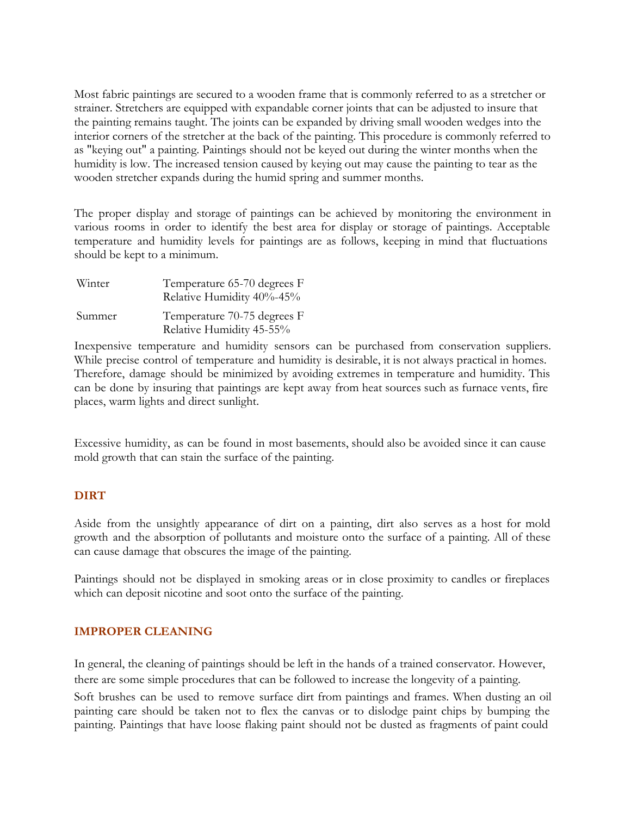Most fabric paintings are secured to a wooden frame that is commonly referred to as a stretcher or strainer. Stretchers are equipped with expandable corner joints that can be adjusted to insure that the painting remains taught. The joints can be expanded by driving small wooden wedges into the interior corners of the stretcher at the back of the painting. This procedure is commonly referred to as "keying out" a painting. Paintings should not be keyed out during the winter months when the humidity is low. The increased tension caused by keying out may cause the painting to tear as the wooden stretcher expands during the humid spring and summer months.

The proper display and storage of paintings can be achieved by monitoring the environment in various rooms in order to identify the best area for display or storage of paintings. Acceptable temperature and humidity levels for paintings are as follows, keeping in mind that fluctuations should be kept to a minimum.

| Winter | Temperature 65-70 degrees F<br>Relative Humidity 40%-45% |
|--------|----------------------------------------------------------|
| Summer | Temperature 70-75 degrees F<br>Relative Humidity 45-55%  |

Inexpensive temperature and humidity sensors can be purchased from conservation suppliers. While precise control of temperature and humidity is desirable, it is not always practical in homes. Therefore, damage should be minimized by avoiding extremes in temperature and humidity. This can be done by insuring that paintings are kept away from heat sources such as furnace vents, fire places, warm lights and direct sunlight.

Excessive humidity, as can be found in most basements, should also be avoided since it can cause mold growth that can stain the surface of the painting.

## **DIRT**

Aside from the unsightly appearance of dirt on a painting, dirt also serves as a host for mold growth and the absorption of pollutants and moisture onto the surface of a painting. All of these can cause damage that obscures the image of the painting.

Paintings should not be displayed in smoking areas or in close proximity to candles or fireplaces which can deposit nicotine and soot onto the surface of the painting.

## **IMPROPER CLEANING**

In general, the cleaning of paintings should be left in the hands of a trained conservator. However, there are some simple procedures that can be followed to increase the longevity of a painting.

Soft brushes can be used to remove surface dirt from paintings and frames. When dusting an oil painting care should be taken not to flex the canvas or to dislodge paint chips by bumping the painting. Paintings that have loose flaking paint should not be dusted as fragments of paint could